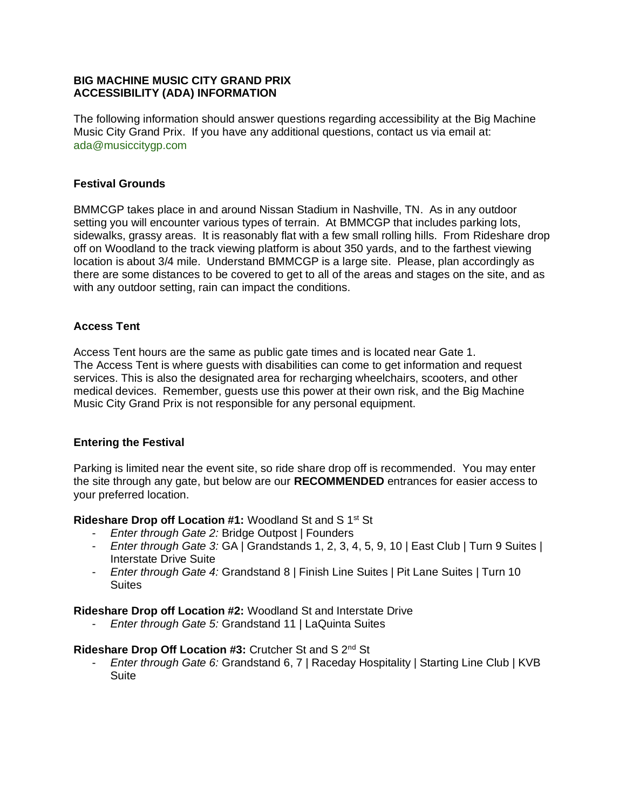# **BIG MACHINE MUSIC CITY GRAND PRIX ACCESSIBILITY (ADA) INFORMATION**

The following information should answer questions regarding accessibility at the Big Machine Music City Grand Prix. If you have any additional questions, contact us via email at: [ada@musiccitygp.com](mailto:ada@musiccitygp.com)

# **Festival Grounds**

BMMCGP takes place in and around Nissan Stadium in Nashville, TN. As in any outdoor setting you will encounter various types of terrain. At BMMCGP that includes parking lots, sidewalks, grassy areas. It is reasonably flat with a few small rolling hills. From Rideshare drop off on Woodland to the track viewing platform is about 350 yards, and to the farthest viewing location is about 3/4 mile. Understand BMMCGP is a large site. Please, plan accordingly as there are some distances to be covered to get to all of the areas and stages on the site, and as with any outdoor setting, rain can impact the conditions.

## **Access Tent**

Access Tent hours are the same as public gate times and is located near Gate 1. The Access Tent is where guests with disabilities can come to get information and request services. This is also the designated area for recharging wheelchairs, scooters, and other medical devices. Remember, guests use this power at their own risk, and the Big Machine Music City Grand Prix is not responsible for any personal equipment.

# **Entering the Festival**

Parking is limited near the event site, so ride share drop off is recommended. You may enter the site through any gate, but below are our **RECOMMENDED** entrances for easier access to your preferred location.

**Rideshare Drop off Location #1:** Woodland St and S 1<sup>st</sup> St

- *Enter through Gate 2:* Bridge Outpost | Founders
- *Enter through Gate 3:* GA | Grandstands 1, 2, 3, 4, 5, 9, 10 | East Club | Turn 9 Suites | Interstate Drive Suite
- *Enter through Gate 4:* Grandstand 8 | Finish Line Suites | Pit Lane Suites | Turn 10 **Suites**

**Rideshare Drop off Location #2:** Woodland St and Interstate Drive

- *Enter through Gate 5:* Grandstand 11 | LaQuinta Suites

#### **Rideshare Drop Off Location #3:** Crutcher St and S 2nd St

*Enter through Gate 6:* Grandstand 6, 7 | Raceday Hospitality | Starting Line Club | KVB **Suite**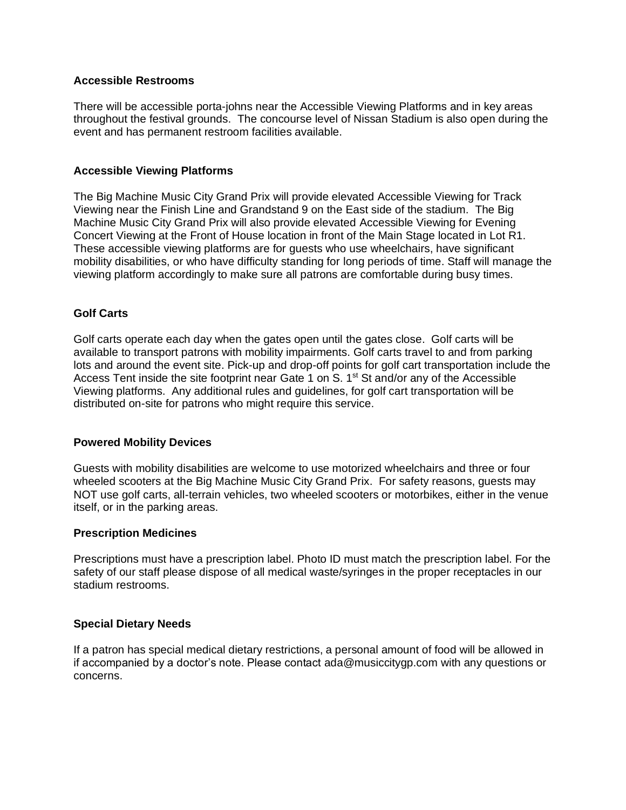## **Accessible Restrooms**

There will be accessible porta-johns near the Accessible Viewing Platforms and in key areas throughout the festival grounds. The concourse level of Nissan Stadium is also open during the event and has permanent restroom facilities available.

# **Accessible Viewing Platforms**

The Big Machine Music City Grand Prix will provide elevated Accessible Viewing for Track Viewing near the Finish Line and Grandstand 9 on the East side of the stadium. The Big Machine Music City Grand Prix will also provide elevated Accessible Viewing for Evening Concert Viewing at the Front of House location in front of the Main Stage located in Lot R1. These accessible viewing platforms are for guests who use wheelchairs, have significant mobility disabilities, or who have difficulty standing for long periods of time. Staff will manage the viewing platform accordingly to make sure all patrons are comfortable during busy times.

# **Golf Carts**

Golf carts operate each day when the gates open until the gates close. Golf carts will be available to transport patrons with mobility impairments. Golf carts travel to and from parking lots and around the event site. Pick-up and drop-off points for golf cart transportation include the Access Tent inside the site footprint near Gate 1 on S.  $1<sup>st</sup>$  St and/or any of the Accessible Viewing platforms. Any additional rules and guidelines, for golf cart transportation will be distributed on-site for patrons who might require this service.

# **Powered Mobility Devices**

Guests with mobility disabilities are welcome to use motorized wheelchairs and three or four wheeled scooters at the Big Machine Music City Grand Prix. For safety reasons, guests may NOT use golf carts, all-terrain vehicles, two wheeled scooters or motorbikes, either in the venue itself, or in the parking areas.

#### **Prescription Medicines**

Prescriptions must have a prescription label. Photo ID must match the prescription label. For the safety of our staff please dispose of all medical waste/syringes in the proper receptacles in our stadium restrooms.

#### **Special Dietary Needs**

If a patron has special medical dietary restrictions, a personal amount of food will be allowed in if accompanied by a doctor's note. Please contact [ada@musiccitygp.com](mailto:ada@musiccitygp.com) with any questions or concerns.